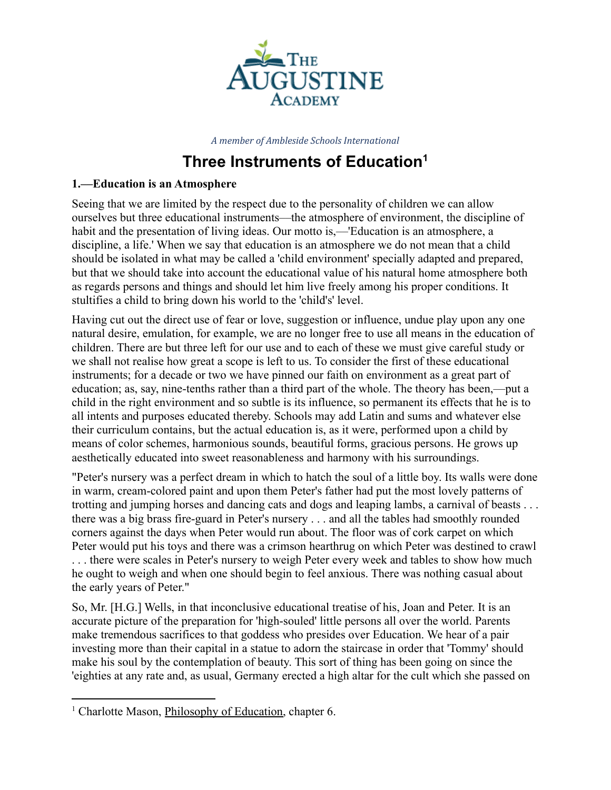

*A member of Ambleside Schools International*

## **Three Instruments of Education 1**

## **1.––Education is an Atmosphere**

Seeing that we are limited by the respect due to the personality of children we can allow ourselves but three educational instruments––the atmosphere of environment, the discipline of habit and the presentation of living ideas. Our motto is,—'Education is an atmosphere, a discipline, a life.' When we say that education is an atmosphere we do not mean that a child should be isolated in what may be called a 'child environment' specially adapted and prepared, but that we should take into account the educational value of his natural home atmosphere both as regards persons and things and should let him live freely among his proper conditions. It stultifies a child to bring down his world to the 'child's' level.

Having cut out the direct use of fear or love, suggestion or influence, undue play upon any one natural desire, emulation, for example, we are no longer free to use all means in the education of children. There are but three left for our use and to each of these we must give careful study or we shall not realise how great a scope is left to us. To consider the first of these educational instruments; for a decade or two we have pinned our faith on environment as a great part of education; as, say, nine-tenths rather than a third part of the whole. The theory has been,—put a child in the right environment and so subtle is its influence, so permanent its effects that he is to all intents and purposes educated thereby. Schools may add Latin and sums and whatever else their curriculum contains, but the actual education is, as it were, performed upon a child by means of color schemes, harmonious sounds, beautiful forms, gracious persons. He grows up aesthetically educated into sweet reasonableness and harmony with his surroundings.

"Peter's nursery was a perfect dream in which to hatch the soul of a little boy. Its walls were done in warm, cream-colored paint and upon them Peter's father had put the most lovely patterns of trotting and jumping horses and dancing cats and dogs and leaping lambs, a carnival of beasts . . . there was a big brass fire-guard in Peter's nursery . . . and all the tables had smoothly rounded corners against the days when Peter would run about. The floor was of cork carpet on which Peter would put his toys and there was a crimson hearthrug on which Peter was destined to crawl . . . there were scales in Peter's nursery to weigh Peter every week and tables to show how much he ought to weigh and when one should begin to feel anxious. There was nothing casual about the early years of Peter."

So, Mr. [H.G.] Wells, in that inconclusive educational treatise of his, Joan and Peter. It is an accurate picture of the preparation for 'high-souled' little persons all over the world. Parents make tremendous sacrifices to that goddess who presides over Education. We hear of a pair investing more than their capital in a statue to adorn the staircase in order that 'Tommy' should make his soul by the contemplation of beauty. This sort of thing has been going on since the 'eighties at any rate and, as usual, Germany erected a high altar for the cult which she passed on

<sup>&</sup>lt;sup>1</sup> Charlotte Mason, *Philosophy of Education*, chapter 6.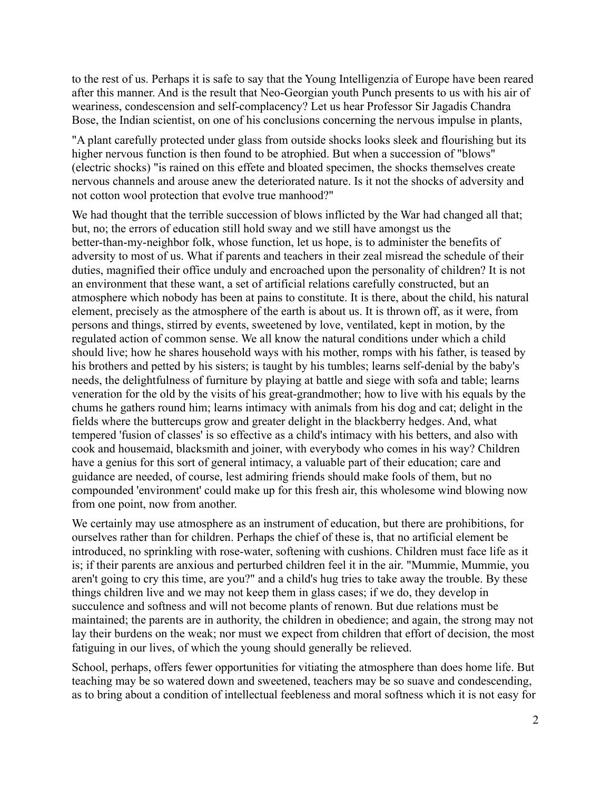to the rest of us. Perhaps it is safe to say that the Young Intelligenzia of Europe have been reared after this manner. And is the result that Neo-Georgian youth Punch presents to us with his air of weariness, condescension and self-complacency? Let us hear Professor Sir Jagadis Chandra Bose, the Indian scientist, on one of his conclusions concerning the nervous impulse in plants,

"A plant carefully protected under glass from outside shocks looks sleek and flourishing but its higher nervous function is then found to be atrophied. But when a succession of "blows" (electric shocks) "is rained on this effete and bloated specimen, the shocks themselves create nervous channels and arouse anew the deteriorated nature. Is it not the shocks of adversity and not cotton wool protection that evolve true manhood?"

We had thought that the terrible succession of blows inflicted by the War had changed all that; but, no; the errors of education still hold sway and we still have amongst us the better-than-my-neighbor folk, whose function, let us hope, is to administer the benefits of adversity to most of us. What if parents and teachers in their zeal misread the schedule of their duties, magnified their office unduly and encroached upon the personality of children? It is not an environment that these want, a set of artificial relations carefully constructed, but an atmosphere which nobody has been at pains to constitute. It is there, about the child, his natural element, precisely as the atmosphere of the earth is about us. It is thrown off, as it were, from persons and things, stirred by events, sweetened by love, ventilated, kept in motion, by the regulated action of common sense. We all know the natural conditions under which a child should live; how he shares household ways with his mother, romps with his father, is teased by his brothers and petted by his sisters; is taught by his tumbles; learns self-denial by the baby's needs, the delightfulness of furniture by playing at battle and siege with sofa and table; learns veneration for the old by the visits of his great-grandmother; how to live with his equals by the chums he gathers round him; learns intimacy with animals from his dog and cat; delight in the fields where the buttercups grow and greater delight in the blackberry hedges. And, what tempered 'fusion of classes' is so effective as a child's intimacy with his betters, and also with cook and housemaid, blacksmith and joiner, with everybody who comes in his way? Children have a genius for this sort of general intimacy, a valuable part of their education; care and guidance are needed, of course, lest admiring friends should make fools of them, but no compounded 'environment' could make up for this fresh air, this wholesome wind blowing now from one point, now from another.

We certainly may use atmosphere as an instrument of education, but there are prohibitions, for ourselves rather than for children. Perhaps the chief of these is, that no artificial element be introduced, no sprinkling with rose-water, softening with cushions. Children must face life as it is; if their parents are anxious and perturbed children feel it in the air. "Mummie, Mummie, you aren't going to cry this time, are you?" and a child's hug tries to take away the trouble. By these things children live and we may not keep them in glass cases; if we do, they develop in succulence and softness and will not become plants of renown. But due relations must be maintained; the parents are in authority, the children in obedience; and again, the strong may not lay their burdens on the weak; nor must we expect from children that effort of decision, the most fatiguing in our lives, of which the young should generally be relieved.

School, perhaps, offers fewer opportunities for vitiating the atmosphere than does home life. But teaching may be so watered down and sweetened, teachers may be so suave and condescending, as to bring about a condition of intellectual feebleness and moral softness which it is not easy for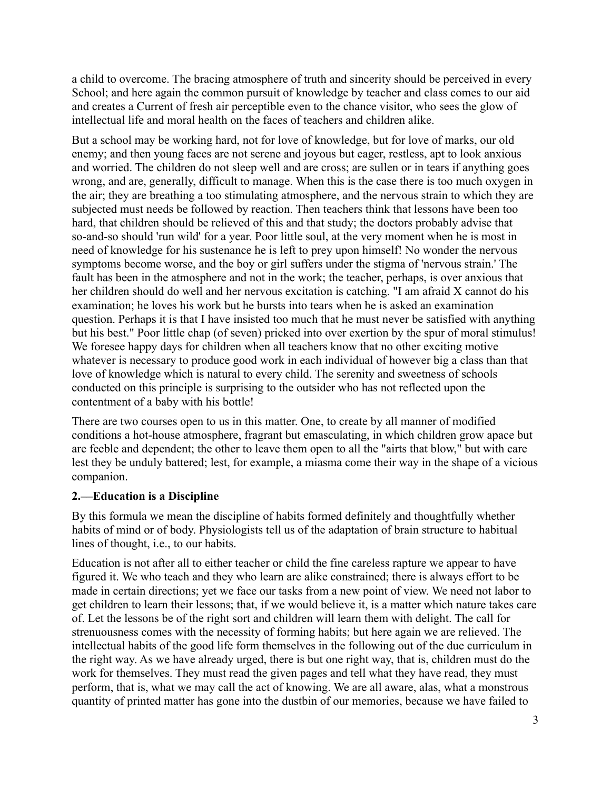a child to overcome. The bracing atmosphere of truth and sincerity should be perceived in every School; and here again the common pursuit of knowledge by teacher and class comes to our aid and creates a Current of fresh air perceptible even to the chance visitor, who sees the glow of intellectual life and moral health on the faces of teachers and children alike.

But a school may be working hard, not for love of knowledge, but for love of marks, our old enemy; and then young faces are not serene and joyous but eager, restless, apt to look anxious and worried. The children do not sleep well and are cross; are sullen or in tears if anything goes wrong, and are, generally, difficult to manage. When this is the case there is too much oxygen in the air; they are breathing a too stimulating atmosphere, and the nervous strain to which they are subjected must needs be followed by reaction. Then teachers think that lessons have been too hard, that children should be relieved of this and that study; the doctors probably advise that so-and-so should 'run wild' for a year. Poor little soul, at the very moment when he is most in need of knowledge for his sustenance he is left to prey upon himself! No wonder the nervous symptoms become worse, and the boy or girl suffers under the stigma of 'nervous strain.' The fault has been in the atmosphere and not in the work; the teacher, perhaps, is over anxious that her children should do well and her nervous excitation is catching. "I am afraid X cannot do his examination; he loves his work but he bursts into tears when he is asked an examination question. Perhaps it is that I have insisted too much that he must never be satisfied with anything but his best." Poor little chap (of seven) pricked into over exertion by the spur of moral stimulus! We foresee happy days for children when all teachers know that no other exciting motive whatever is necessary to produce good work in each individual of however big a class than that love of knowledge which is natural to every child. The serenity and sweetness of schools conducted on this principle is surprising to the outsider who has not reflected upon the contentment of a baby with his bottle!

There are two courses open to us in this matter. One, to create by all manner of modified conditions a hot-house atmosphere, fragrant but emasculating, in which children grow apace but are feeble and dependent; the other to leave them open to all the "airts that blow," but with care lest they be unduly battered; lest, for example, a miasma come their way in the shape of a vicious companion.

## **2.––Education is a Discipline**

By this formula we mean the discipline of habits formed definitely and thoughtfully whether habits of mind or of body. Physiologists tell us of the adaptation of brain structure to habitual lines of thought, i.e., to our habits.

Education is not after all to either teacher or child the fine careless rapture we appear to have figured it. We who teach and they who learn are alike constrained; there is always effort to be made in certain directions; yet we face our tasks from a new point of view. We need not labor to get children to learn their lessons; that, if we would believe it, is a matter which nature takes care of. Let the lessons be of the right sort and children will learn them with delight. The call for strenuousness comes with the necessity of forming habits; but here again we are relieved. The intellectual habits of the good life form themselves in the following out of the due curriculum in the right way. As we have already urged, there is but one right way, that is, children must do the work for themselves. They must read the given pages and tell what they have read, they must perform, that is, what we may call the act of knowing. We are all aware, alas, what a monstrous quantity of printed matter has gone into the dustbin of our memories, because we have failed to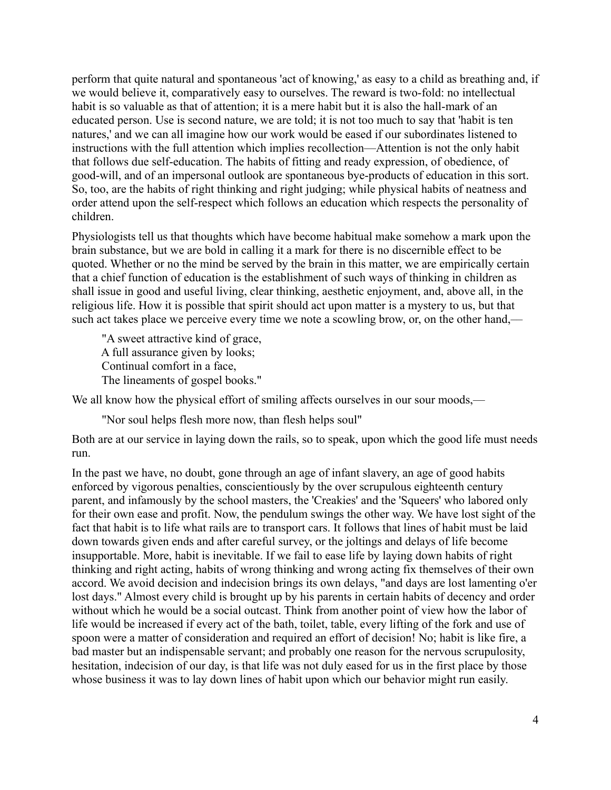perform that quite natural and spontaneous 'act of knowing,' as easy to a child as breathing and, if we would believe it, comparatively easy to ourselves. The reward is two-fold: no intellectual habit is so valuable as that of attention; it is a mere habit but it is also the hall-mark of an educated person. Use is second nature, we are told; it is not too much to say that 'habit is ten natures,' and we can all imagine how our work would be eased if our subordinates listened to instructions with the full attention which implies recollection––Attention is not the only habit that follows due self-education. The habits of fitting and ready expression, of obedience, of good-will, and of an impersonal outlook are spontaneous bye-products of education in this sort. So, too, are the habits of right thinking and right judging; while physical habits of neatness and order attend upon the self-respect which follows an education which respects the personality of children.

Physiologists tell us that thoughts which have become habitual make somehow a mark upon the brain substance, but we are bold in calling it a mark for there is no discernible effect to be quoted. Whether or no the mind be served by the brain in this matter, we are empirically certain that a chief function of education is the establishment of such ways of thinking in children as shall issue in good and useful living, clear thinking, aesthetic enjoyment, and, above all, in the religious life. How it is possible that spirit should act upon matter is a mystery to us, but that such act takes place we perceive every time we note a scowling brow, or, on the other hand,—

"A sweet attractive kind of grace, A full assurance given by looks; Continual comfort in a face, The lineaments of gospel books."

We all know how the physical effort of smiling affects ourselves in our sour moods,—

"Nor soul helps flesh more now, than flesh helps soul"

Both are at our service in laying down the rails, so to speak, upon which the good life must needs run.

In the past we have, no doubt, gone through an age of infant slavery, an age of good habits enforced by vigorous penalties, conscientiously by the over scrupulous eighteenth century parent, and infamously by the school masters, the 'Creakies' and the 'Squeers' who labored only for their own ease and profit. Now, the pendulum swings the other way. We have lost sight of the fact that habit is to life what rails are to transport cars. It follows that lines of habit must be laid down towards given ends and after careful survey, or the joltings and delays of life become insupportable. More, habit is inevitable. If we fail to ease life by laying down habits of right thinking and right acting, habits of wrong thinking and wrong acting fix themselves of their own accord. We avoid decision and indecision brings its own delays, "and days are lost lamenting o'er lost days." Almost every child is brought up by his parents in certain habits of decency and order without which he would be a social outcast. Think from another point of view how the labor of life would be increased if every act of the bath, toilet, table, every lifting of the fork and use of spoon were a matter of consideration and required an effort of decision! No; habit is like fire, a bad master but an indispensable servant; and probably one reason for the nervous scrupulosity, hesitation, indecision of our day, is that life was not duly eased for us in the first place by those whose business it was to lay down lines of habit upon which our behavior might run easily.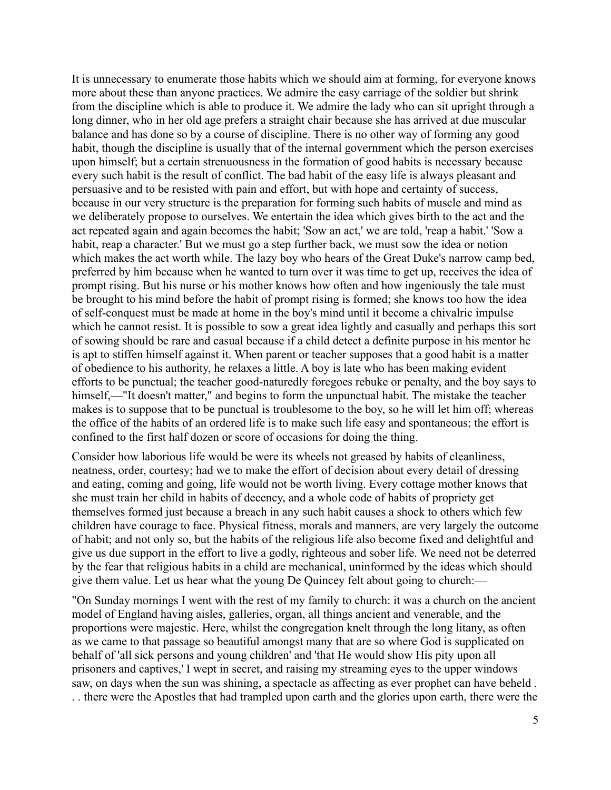It is unnecessary to enumerate those habits which we should aim at forming, for everyone knows more about these than anyone practices. We admire the easy carriage of the soldier but shrink from the discipline which is able to produce it. We admire the lady who can sit upright through a long dinner, who in her old age prefers a straight chair because she has arrived at due muscular balance and has done so by a course of discipline. There is no other way of forming any good habit, though the discipline is usually that of the internal government which the person exercises upon himself; but a certain strenuousness in the formation of good habits is necessary because every such habit is the result of conflict. The bad habit of the easy life is always pleasant and persuasive and to be resisted with pain and effort, but with hope and certainty of success, because in our very structure is the preparation for forming such habits of muscle and mind as we deliberately propose to ourselves. We entertain the idea which gives birth to the act and the act repeated again and again becomes the habit; 'Sow an act,' we are told, 'reap a habit.' 'Sow a habit, reap a character.' But we must go a step further back, we must sow the idea or notion which makes the act worth while. The lazy boy who hears of the Great Duke's narrow camp bed, preferred by him because when he wanted to turn over it was time to get up, receives the idea of prompt rising. But his nurse or his mother knows how often and how ingeniously the tale must be brought to his mind before the habit of prompt rising is formed; she knows too how the idea of self-conquest must be made at home in the boy's mind until it become a chivalric impulse which he cannot resist. It is possible to sow a great idea lightly and casually and perhaps this sort of sowing should be rare and casual because if a child detect a definite purpose in his mentor he is apt to stiffen himself against it. When parent or teacher supposes that a good habit is a matter of obedience to his authority, he relaxes a little. A boy is late who has been making evident efforts to be punctual; the teacher good-naturedly foregoes rebuke or penalty, and the boy says to himself,—"It doesn't matter," and begins to form the unpunctual habit. The mistake the teacher makes is to suppose that to be punctual is troublesome to the boy, so he will let him off; whereas the office of the habits of an ordered life is to make such life easy and spontaneous; the effort is confined to the first half dozen or score of occasions for doing the thing.

Consider how laborious life would be were its wheels not greased by habits of cleanliness, neatness, order, courtesy; had we to make the effort of decision about every detail of dressing and eating, coming and going, life would not be worth living. Every cottage mother knows that she must train her child in habits of decency, and a whole code of habits of propriety get themselves formed just because a breach in any such habit causes a shock to others which few children have courage to face. Physical fitness, morals and manners, are very largely the outcome of habit; and not only so, but the habits of the religious life also become fixed and delightful and give us due support in the effort to live a godly, righteous and sober life. We need not be deterred by the fear that religious habits in a child are mechanical, uninformed by the ideas which should give them value. Let us hear what the young De Quincey felt about going to church:––

"On Sunday mornings I went with the rest of my family to church: it was a church on the ancient model of England having aisles, galleries, organ, all things ancient and venerable, and the proportions were majestic. Here, whilst the congregation knelt through the long litany, as often as we came to that passage so beautiful amongst many that are so where God is supplicated on behalf of 'all sick persons and young children' and 'that He would show His pity upon all prisoners and captives,' I wept in secret, and raising my streaming eyes to the upper windows saw, on days when the sun was shining, a spectacle as affecting as ever prophet can have beheld . . . there were the Apostles that had trampled upon earth and the glories upon earth, there were the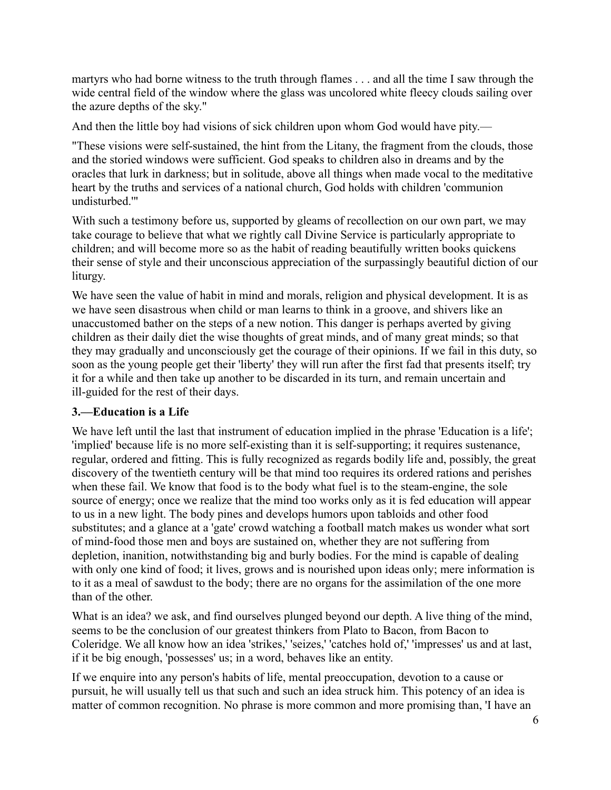martyrs who had borne witness to the truth through flames . . . and all the time I saw through the wide central field of the window where the glass was uncolored white fleecy clouds sailing over the azure depths of the sky."

And then the little boy had visions of sick children upon whom God would have pity.—

"These visions were self-sustained, the hint from the Litany, the fragment from the clouds, those and the storied windows were sufficient. God speaks to children also in dreams and by the oracles that lurk in darkness; but in solitude, above all things when made vocal to the meditative heart by the truths and services of a national church, God holds with children 'communion undisturbed.'"

With such a testimony before us, supported by gleams of recollection on our own part, we may take courage to believe that what we rightly call Divine Service is particularly appropriate to children; and will become more so as the habit of reading beautifully written books quickens their sense of style and their unconscious appreciation of the surpassingly beautiful diction of our liturgy.

We have seen the value of habit in mind and morals, religion and physical development. It is as we have seen disastrous when child or man learns to think in a groove, and shivers like an unaccustomed bather on the steps of a new notion. This danger is perhaps averted by giving children as their daily diet the wise thoughts of great minds, and of many great minds; so that they may gradually and unconsciously get the courage of their opinions. If we fail in this duty, so soon as the young people get their 'liberty' they will run after the first fad that presents itself; try it for a while and then take up another to be discarded in its turn, and remain uncertain and ill-guided for the rest of their days.

## **3.––Education is a Life**

We have left until the last that instrument of education implied in the phrase 'Education is a life'; 'implied' because life is no more self-existing than it is self-supporting; it requires sustenance, regular, ordered and fitting. This is fully recognized as regards bodily life and, possibly, the great discovery of the twentieth century will be that mind too requires its ordered rations and perishes when these fail. We know that food is to the body what fuel is to the steam-engine, the sole source of energy; once we realize that the mind too works only as it is fed education will appear to us in a new light. The body pines and develops humors upon tabloids and other food substitutes; and a glance at a 'gate' crowd watching a football match makes us wonder what sort of mind-food those men and boys are sustained on, whether they are not suffering from depletion, inanition, notwithstanding big and burly bodies. For the mind is capable of dealing with only one kind of food; it lives, grows and is nourished upon ideas only; mere information is to it as a meal of sawdust to the body; there are no organs for the assimilation of the one more than of the other.

What is an idea? we ask, and find ourselves plunged beyond our depth. A live thing of the mind, seems to be the conclusion of our greatest thinkers from Plato to Bacon, from Bacon to Coleridge. We all know how an idea 'strikes,' 'seizes,' 'catches hold of,' 'impresses' us and at last, if it be big enough, 'possesses' us; in a word, behaves like an entity.

If we enquire into any person's habits of life, mental preoccupation, devotion to a cause or pursuit, he will usually tell us that such and such an idea struck him. This potency of an idea is matter of common recognition. No phrase is more common and more promising than, 'I have an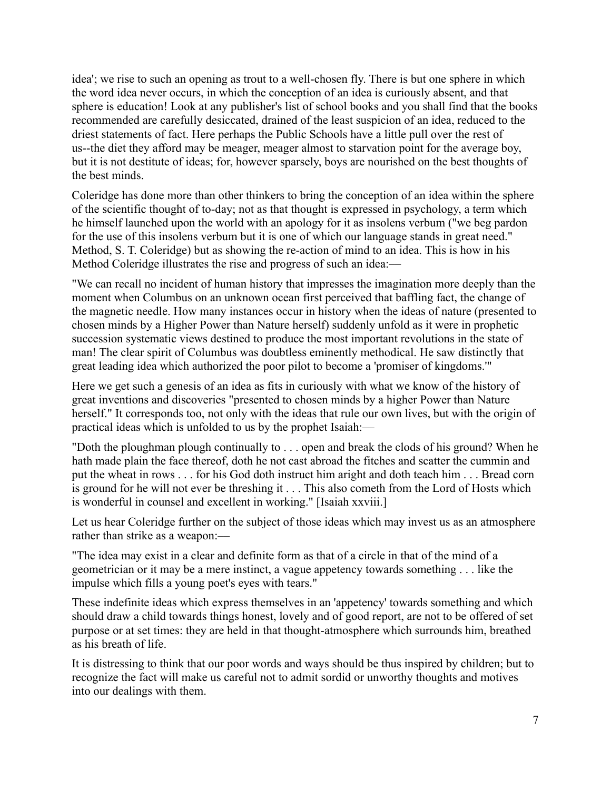idea'; we rise to such an opening as trout to a well-chosen fly. There is but one sphere in which the word idea never occurs, in which the conception of an idea is curiously absent, and that sphere is education! Look at any publisher's list of school books and you shall find that the books recommended are carefully desiccated, drained of the least suspicion of an idea, reduced to the driest statements of fact. Here perhaps the Public Schools have a little pull over the rest of us--the diet they afford may be meager, meager almost to starvation point for the average boy, but it is not destitute of ideas; for, however sparsely, boys are nourished on the best thoughts of the best minds.

Coleridge has done more than other thinkers to bring the conception of an idea within the sphere of the scientific thought of to-day; not as that thought is expressed in psychology, a term which he himself launched upon the world with an apology for it as insolens verbum ("we beg pardon for the use of this insolens verbum but it is one of which our language stands in great need." Method, S. T. Coleridge) but as showing the re-action of mind to an idea. This is how in his Method Coleridge illustrates the rise and progress of such an idea:—

"We can recall no incident of human history that impresses the imagination more deeply than the moment when Columbus on an unknown ocean first perceived that baffling fact, the change of the magnetic needle. How many instances occur in history when the ideas of nature (presented to chosen minds by a Higher Power than Nature herself) suddenly unfold as it were in prophetic succession systematic views destined to produce the most important revolutions in the state of man! The clear spirit of Columbus was doubtless eminently methodical. He saw distinctly that great leading idea which authorized the poor pilot to become a 'promiser of kingdoms.'"

Here we get such a genesis of an idea as fits in curiously with what we know of the history of great inventions and discoveries "presented to chosen minds by a higher Power than Nature herself." It corresponds too, not only with the ideas that rule our own lives, but with the origin of practical ideas which is unfolded to us by the prophet Isaiah:—

"Doth the ploughman plough continually to . . . open and break the clods of his ground? When he hath made plain the face thereof, doth he not cast abroad the fitches and scatter the cummin and put the wheat in rows . . . for his God doth instruct him aright and doth teach him . . . Bread corn is ground for he will not ever be threshing it . . . This also cometh from the Lord of Hosts which is wonderful in counsel and excellent in working." [Isaiah xxviii.]

Let us hear Coleridge further on the subject of those ideas which may invest us as an atmosphere rather than strike as a weapon:—

"The idea may exist in a clear and definite form as that of a circle in that of the mind of a geometrician or it may be a mere instinct, a vague appetency towards something . . . like the impulse which fills a young poet's eyes with tears."

These indefinite ideas which express themselves in an 'appetency' towards something and which should draw a child towards things honest, lovely and of good report, are not to be offered of set purpose or at set times: they are held in that thought-atmosphere which surrounds him, breathed as his breath of life.

It is distressing to think that our poor words and ways should be thus inspired by children; but to recognize the fact will make us careful not to admit sordid or unworthy thoughts and motives into our dealings with them.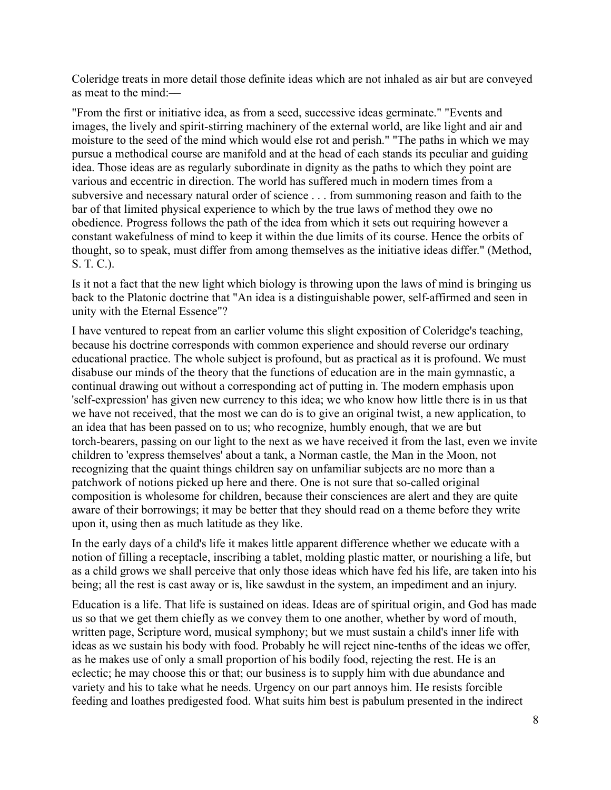Coleridge treats in more detail those definite ideas which are not inhaled as air but are conveyed as meat to the mind:––

"From the first or initiative idea, as from a seed, successive ideas germinate." "Events and images, the lively and spirit-stirring machinery of the external world, are like light and air and moisture to the seed of the mind which would else rot and perish." "The paths in which we may pursue a methodical course are manifold and at the head of each stands its peculiar and guiding idea. Those ideas are as regularly subordinate in dignity as the paths to which they point are various and eccentric in direction. The world has suffered much in modern times from a subversive and necessary natural order of science . . . from summoning reason and faith to the bar of that limited physical experience to which by the true laws of method they owe no obedience. Progress follows the path of the idea from which it sets out requiring however a constant wakefulness of mind to keep it within the due limits of its course. Hence the orbits of thought, so to speak, must differ from among themselves as the initiative ideas differ." (Method, S. T. C.).

Is it not a fact that the new light which biology is throwing upon the laws of mind is bringing us back to the Platonic doctrine that "An idea is a distinguishable power, self-affirmed and seen in unity with the Eternal Essence"?

I have ventured to repeat from an earlier volume this slight exposition of Coleridge's teaching, because his doctrine corresponds with common experience and should reverse our ordinary educational practice. The whole subject is profound, but as practical as it is profound. We must disabuse our minds of the theory that the functions of education are in the main gymnastic, a continual drawing out without a corresponding act of putting in. The modern emphasis upon 'self-expression' has given new currency to this idea; we who know how little there is in us that we have not received, that the most we can do is to give an original twist, a new application, to an idea that has been passed on to us; who recognize, humbly enough, that we are but torch-bearers, passing on our light to the next as we have received it from the last, even we invite children to 'express themselves' about a tank, a Norman castle, the Man in the Moon, not recognizing that the quaint things children say on unfamiliar subjects are no more than a patchwork of notions picked up here and there. One is not sure that so-called original composition is wholesome for children, because their consciences are alert and they are quite aware of their borrowings; it may be better that they should read on a theme before they write upon it, using then as much latitude as they like.

In the early days of a child's life it makes little apparent difference whether we educate with a notion of filling a receptacle, inscribing a tablet, molding plastic matter, or nourishing a life, but as a child grows we shall perceive that only those ideas which have fed his life, are taken into his being; all the rest is cast away or is, like sawdust in the system, an impediment and an injury.

Education is a life. That life is sustained on ideas. Ideas are of spiritual origin, and God has made us so that we get them chiefly as we convey them to one another, whether by word of mouth, written page, Scripture word, musical symphony; but we must sustain a child's inner life with ideas as we sustain his body with food. Probably he will reject nine-tenths of the ideas we offer, as he makes use of only a small proportion of his bodily food, rejecting the rest. He is an eclectic; he may choose this or that; our business is to supply him with due abundance and variety and his to take what he needs. Urgency on our part annoys him. He resists forcible feeding and loathes predigested food. What suits him best is pabulum presented in the indirect